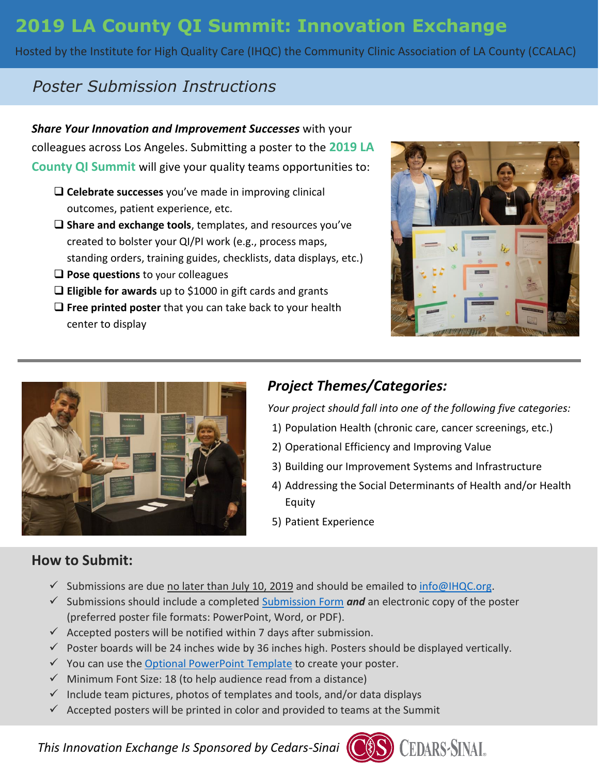# **2019 LA County QI Summit: Innovation Exchange**

Hosted by the Institute for High Quality Care (IHQC) the Community Clinic Association of LA County (CCALAC)

## *Poster Submission Instructions*

*Share Your Innovation and Improvement Successes* with your colleagues across Los Angeles. Submitting a poster to the **2019 LA County QI Summit** will give your quality teams opportunities to:

- **Celebrate successes** you've made in improving clinical outcomes, patient experience, etc.
- **Share and exchange tools**, templates, and resources you've created to bolster your QI/PI work (e.g., process maps, standing orders, training guides, checklists, data displays, etc.)
- **Q** Pose questions to your colleagues
- **Eligible for awards** up to \$1000 in gift cards and grants
- **Free printed poster** that you can take back to your health center to display





### *Project Themes/Categories:*

*Your project should fall into one of the following five categories:*

- 1) Population Health (chronic care, cancer screenings, etc.)
- 2) Operational Efficiency and Improving Value
- 3) Building our Improvement Systems and Infrastructure
- 4) Addressing the Social Determinants of Health and/or Health Equity
- 5) Patient Experience

### **How to Submit:**

- $\checkmark$  Submissions are due no later than July 10, 2019 and should be emailed to [info@IHQC.org.](mailto:info@IHQC.org)
- $\checkmark$  Submissions should include a completed [Submission Form](http://ihqc.org/wp-content/uploads/2019/05/Poster-Submission-Form.pdf)  $and$  an electronic copy of the poster (preferred poster file formats: PowerPoint, Word, or PDF).
- $\checkmark$  Accepted posters will be notified within 7 days after submission.
- $\checkmark$  Poster boards will be 24 inches wide by 36 inches high. Posters should be displayed vertically.
- $\checkmark$  You can use the [Optional PowerPoint Template](http://ihqc.org/wp-content/uploads/2019/05/Optional-Poster-Template_QI-Summit.pptx) to create your poster.
- $\checkmark$  Minimum Font Size: 18 (to help audience read from a distance)
- $\checkmark$  Include team pictures, photos of templates and tools, and/or data displays
- $\checkmark$  Accepted posters will be printed in color and provided to teams at the Summit

*This Innovation Exchange Is Sponsored by Cedars-Sinai*

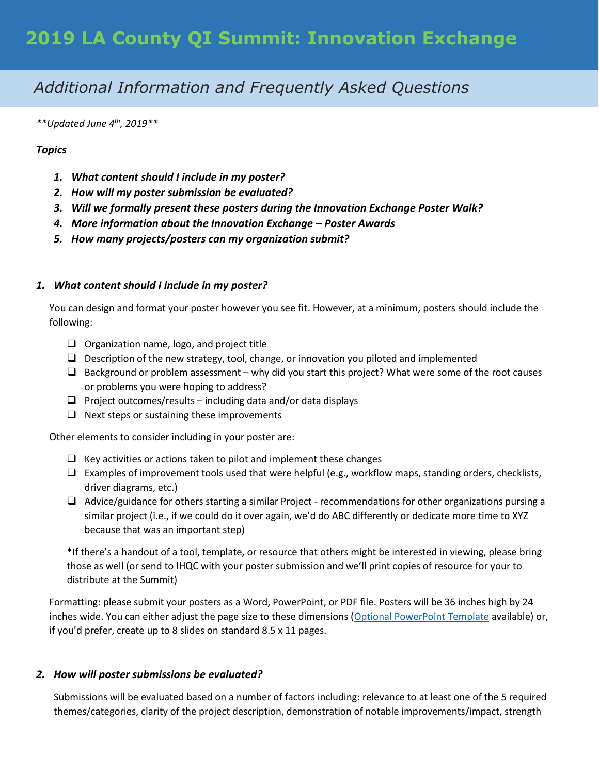## *Additional Information and Frequently Asked Questions*

*\*\*Updated June 4th, 2019\*\**

#### *Topics*

- *1. What content should I include in my poster?*
- *2. How will my poster submission be evaluated?*
- *3. Will we formally present these posters during the Innovation Exchange Poster Walk?*
- *4. More information about the Innovation Exchange – Poster Awards*
- *5. How many projects/posters can my organization submit?*

#### *1. What content should I include in my poster?*

You can design and format your poster however you see fit. However, at a minimum, posters should include the following:

- $\Box$  Organization name, logo, and project title
- $\Box$  Description of the new strategy, tool, change, or innovation you piloted and implemented
- $\Box$  Background or problem assessment why did you start this project? What were some of the root causes or problems you were hoping to address?
- $\Box$  Project outcomes/results including data and/or data displays
- $\Box$  Next steps or sustaining these improvements

Other elements to consider including in your poster are:

- $\Box$  Key activities or actions taken to pilot and implement these changes
- $\Box$  Examples of improvement tools used that were helpful (e.g., workflow maps, standing orders, checklists, driver diagrams, etc.)
- $\Box$  Advice/guidance for others starting a similar Project recommendations for other organizations pursing a similar project (i.e., if we could do it over again, we'd do ABC differently or dedicate more time to XYZ because that was an important step)

\*If there's a handout of a tool, template, or resource that others might be interested in viewing, please bring those as well (or send to IHQC with your poster submission and we'll print copies of resource for your to distribute at the Summit)

Formatting: please submit your posters as a Word, PowerPoint, or PDF file. Posters will be 36 inches high by 24 inches wide. You can either adjust the page size to these dimensions [\(Optional PowerPoint Template](http://ihqc.org/wp-content/uploads/2019/05/Optional-Poster-Template_QI-Summit.pptx) available) or, if you'd prefer, create up to 8 slides on standard 8.5 x 11 pages.

#### *2. How will poster submissions be evaluated?*

Submissions will be evaluated based on a number of factors including: relevance to at least one of the 5 required themes/categories, clarity of the project description, demonstration of notable improvements/impact, strength